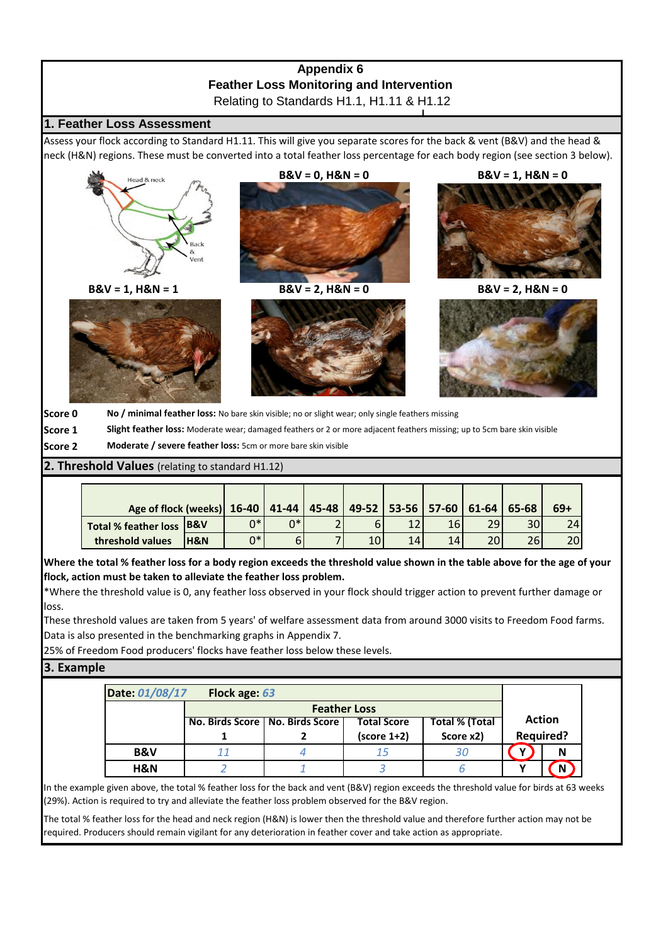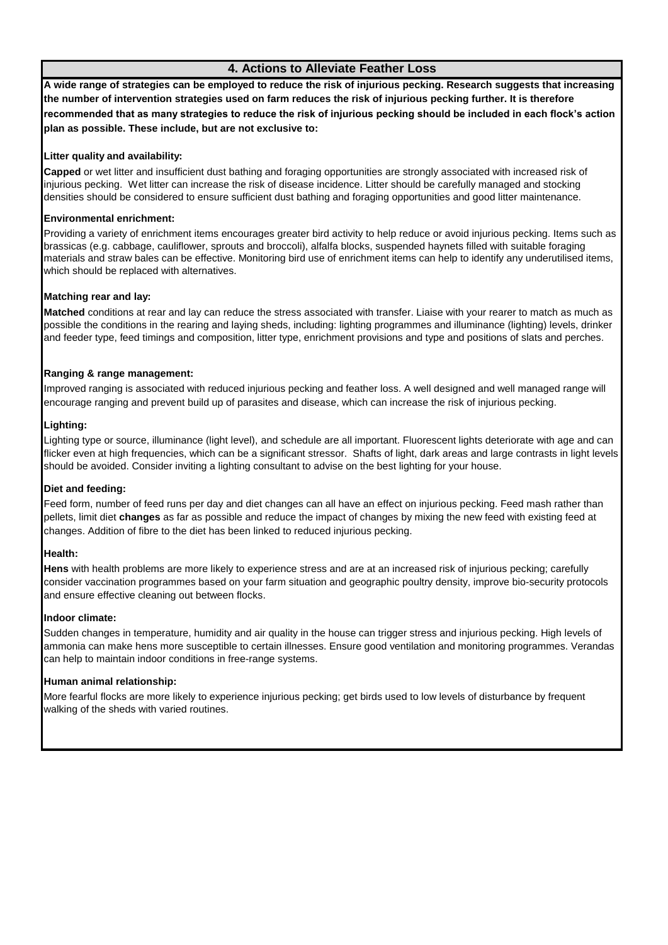# **4. Actions to Alleviate Feather Loss**

**A wide range of strategies can be employed to reduce the risk of injurious pecking. Research suggests that increasing the number of intervention strategies used on farm reduces the risk of injurious pecking further. It is therefore recommended that as many strategies to reduce the risk of injurious pecking should be included in each flock's action plan as possible. These include, but are not exclusive to:**

## **Litter quality and availability:**

**Capped** or wet litter and insufficient dust bathing and foraging opportunities are strongly associated with increased risk of injurious pecking. Wet litter can increase the risk of disease incidence. Litter should be carefully managed and stocking densities should be considered to ensure sufficient dust bathing and foraging opportunities and good litter maintenance.

## **Environmental enrichment:**

Providing a variety of enrichment items encourages greater bird activity to help reduce or avoid injurious pecking. Items such as brassicas (e.g. cabbage, cauliflower, sprouts and broccoli), alfalfa blocks, suspended haynets filled with suitable foraging materials and straw bales can be effective. Monitoring bird use of enrichment items can help to identify any underutilised items, which should be replaced with alternatives.

## **Matching rear and lay:**

**Matched** conditions at rear and lay can reduce the stress associated with transfer. Liaise with your rearer to match as much as possible the conditions in the rearing and laying sheds, including: lighting programmes and illuminance (lighting) levels, drinker and feeder type, feed timings and composition, litter type, enrichment provisions and type and positions of slats and perches.

## **Ranging & range management:**

Improved ranging is associated with reduced injurious pecking and feather loss. A well designed and well managed range will encourage ranging and prevent build up of parasites and disease, which can increase the risk of injurious pecking.

### **Lighting:**

Lighting type or source, illuminance (light level), and schedule are all important. Fluorescent lights deteriorate with age and can flicker even at high frequencies, which can be a significant stressor. Shafts of light, dark areas and large contrasts in light levels should be avoided. Consider inviting a lighting consultant to advise on the best lighting for your house.

### **Diet and feeding:**

Feed form, number of feed runs per day and diet changes can all have an effect on injurious pecking. Feed mash rather than pellets, limit diet **changes** as far as possible and reduce the impact of changes by mixing the new feed with existing feed at changes. Addition of fibre to the diet has been linked to reduced injurious pecking.

### **Health:**

**Hens** with health problems are more likely to experience stress and are at an increased risk of injurious pecking; carefully consider vaccination programmes based on your farm situation and geographic poultry density, improve bio-security protocols and ensure effective cleaning out between flocks.

### **Indoor climate:**

Sudden changes in temperature, humidity and air quality in the house can trigger stress and injurious pecking. High levels of ammonia can make hens more susceptible to certain illnesses. Ensure good ventilation and monitoring programmes. Verandas can help to maintain indoor conditions in free-range systems.

### **Human animal relationship:**

More fearful flocks are more likely to experience injurious pecking; get birds used to low levels of disturbance by frequent walking of the sheds with varied routines.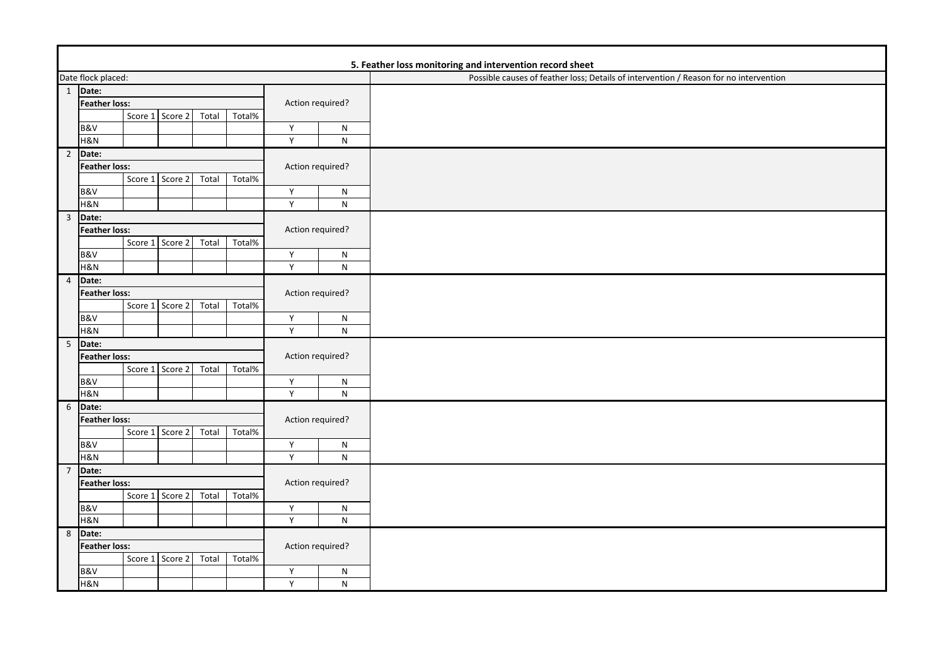| 5. Feather loss monitoring and intervention record sheet                              |  |  |  |  |  |  |  |  |  |
|---------------------------------------------------------------------------------------|--|--|--|--|--|--|--|--|--|
| Possible causes of feather loss; Details of intervention / Reason for no intervention |  |  |  |  |  |  |  |  |  |
|                                                                                       |  |  |  |  |  |  |  |  |  |
|                                                                                       |  |  |  |  |  |  |  |  |  |
|                                                                                       |  |  |  |  |  |  |  |  |  |
|                                                                                       |  |  |  |  |  |  |  |  |  |
|                                                                                       |  |  |  |  |  |  |  |  |  |
|                                                                                       |  |  |  |  |  |  |  |  |  |
|                                                                                       |  |  |  |  |  |  |  |  |  |
|                                                                                       |  |  |  |  |  |  |  |  |  |
|                                                                                       |  |  |  |  |  |  |  |  |  |
|                                                                                       |  |  |  |  |  |  |  |  |  |
|                                                                                       |  |  |  |  |  |  |  |  |  |
|                                                                                       |  |  |  |  |  |  |  |  |  |
|                                                                                       |  |  |  |  |  |  |  |  |  |
|                                                                                       |  |  |  |  |  |  |  |  |  |
|                                                                                       |  |  |  |  |  |  |  |  |  |
|                                                                                       |  |  |  |  |  |  |  |  |  |
|                                                                                       |  |  |  |  |  |  |  |  |  |
|                                                                                       |  |  |  |  |  |  |  |  |  |
|                                                                                       |  |  |  |  |  |  |  |  |  |
|                                                                                       |  |  |  |  |  |  |  |  |  |
|                                                                                       |  |  |  |  |  |  |  |  |  |
|                                                                                       |  |  |  |  |  |  |  |  |  |
|                                                                                       |  |  |  |  |  |  |  |  |  |
|                                                                                       |  |  |  |  |  |  |  |  |  |
|                                                                                       |  |  |  |  |  |  |  |  |  |
|                                                                                       |  |  |  |  |  |  |  |  |  |
|                                                                                       |  |  |  |  |  |  |  |  |  |
|                                                                                       |  |  |  |  |  |  |  |  |  |
|                                                                                       |  |  |  |  |  |  |  |  |  |
|                                                                                       |  |  |  |  |  |  |  |  |  |
|                                                                                       |  |  |  |  |  |  |  |  |  |
|                                                                                       |  |  |  |  |  |  |  |  |  |
|                                                                                       |  |  |  |  |  |  |  |  |  |
|                                                                                       |  |  |  |  |  |  |  |  |  |
|                                                                                       |  |  |  |  |  |  |  |  |  |
|                                                                                       |  |  |  |  |  |  |  |  |  |
|                                                                                       |  |  |  |  |  |  |  |  |  |
|                                                                                       |  |  |  |  |  |  |  |  |  |
|                                                                                       |  |  |  |  |  |  |  |  |  |
|                                                                                       |  |  |  |  |  |  |  |  |  |